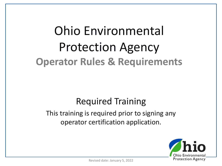# Ohio Environmental Protection Agency **Operator Rules & Requirements**

#### Required Training

#### This training is required prior to signing any operator certification application.

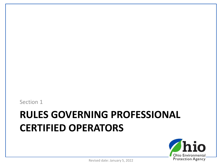Section 1

#### **RULES GOVERNING PROFESSIONAL CERTIFIED OPERATORS**

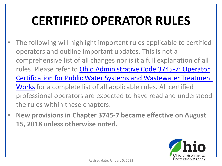# **CERTIFIED OPERATOR RULES**

- The following will highlight important rules applicable to certified operators and outline important updates. This is not a comprehensive list of all changes nor is it a full explanation of all rules. Please refer to Ohio Administrative Code 3745-7: Operator [Certification for Public Water Systems and Wastewater Treatment](https://epa.ohio.gov/wps/portal/gov/epa/divisions-and-offices/drinking-and-ground-waters/regulations/effective-rules)  Works for a complete list of all applicable rules. All certified professional operators are expected to have read and understood the rules within these chapters.
- **New provisions in Chapter 3745-7 became effective on August 15, 2018 unless otherwise noted.**

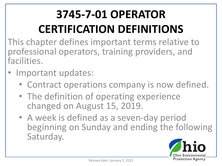# **3745-7-01 OPERATOR CERTIFICATION DEFINITIONS**

This chapter defines important terms relative to professional operators, training providers, and facilities.

- Important updates:
	- Contract operations company is now defined.
	- The definition of operating experience changed on August 15, 2019.
	- A week is defined as a seven-day period beginning on Sunday and ending the following Saturday.

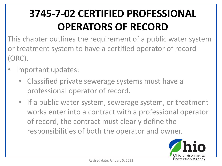#### **3745-7-02 CERTIFIED PROFESSIONAL OPERATORS OF RECORD**

This chapter outlines the requirement of a public water system or treatment system to have a certified operator of record (ORC).

- Important updates:
	- Classified private sewerage systems must have a professional operator of record.
	- If a public water system, sewerage system, or treatment works enter into a contract with a professional operator of record, the contract must clearly define the responsibilities of both the operator and owner.

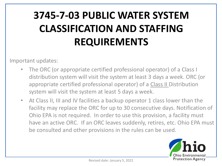#### **3745-7-03 PUBLIC WATER SYSTEM CLASSIFICATION AND STAFFING REQUIREMENTS**

Important updates:

- The ORC (or appropriate certified professional operator) of a Class I distribution system will visit the system at least 3 days a week. ORC (or appropriate certified professional operator) of a Class II Distribution system will visit the system at least 5 days a week.
- At Class II, III and IV facilities a backup operator 1 class lower than the facility may replace the ORC for up to 30 consecutive days. Notification of Ohio EPA is not required. In order to use this provision, a facility must have an active ORC. If an ORC leaves suddenly, retires, etc. Ohio EPA must be consulted and other provisions in the rules can be used.

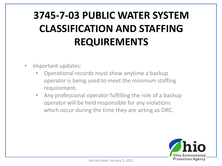#### **3745-7-03 PUBLIC WATER SYSTEM CLASSIFICATION AND STAFFING REQUIREMENTS**

- Important updates:
	- Operational records must show anytime a backup operator is being used to meet the minimum staffing requirement.
	- Any professional operator fulfilling the role of a backup operator will be held responsible for any violations which occur during the time they are acting as ORC.

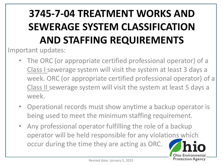### **3745-7-04 TREATMENT WORKS AND SEWERAGE SYSTEM CLASSIFICATION AND STAFFING REQUIREMENTS**

Important updates:

- The ORC (or appropriate certified professional operator) of a Class I sewerage system will visit the system at least 3 days a week. ORC (or appropriate certified professional operator) of a Class II sewerage system will visit the system at least 5 days a week.
- Operational records must show anytime a backup operator is being used to meet the minimum staffing requirement.
- Any professional operator fulfilling the role of a backup operator will be held responsible for any violations which occur during the time they are acting as ORC.

Ohio Environmenta **Protection Agency**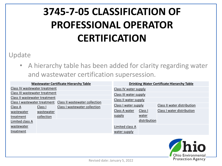#### **3745-7-05 CLASSIFICATION OF PROFESSIONAL OPERATOR CERTIFICATION**

#### Update

• A hierarchy table has been added for clarity regarding water and wastewater certification supersession.

|                                                             | <b>Wastewater Certificate Hierarchy Table</b> | <b>Drinking Water Certificate Hierarchy Table</b> |                        |              |                             |  |
|-------------------------------------------------------------|-----------------------------------------------|---------------------------------------------------|------------------------|--------------|-----------------------------|--|
| Class IV wastewater treatment                               |                                               |                                                   | Class IV water supply  |              |                             |  |
| Class III wastewater treatment                              |                                               |                                                   | Class III water supply |              |                             |  |
| Class II wastewater treatment                               |                                               |                                                   | Class II water supply  |              |                             |  |
| Class I wastewater treatment Class II wastewater collection |                                               |                                                   |                        |              |                             |  |
| Class A                                                     | Class I                                       | Class I wastewater collection                     | Class I water supply   |              | Class II water distribution |  |
| wastewater                                                  | wastewater                                    |                                                   | Class A water          | Class I      | Class I water distribution  |  |
| treatment                                                   | collection                                    |                                                   | supply                 | water        |                             |  |
| Limited class A                                             |                                               |                                                   |                        | distribution |                             |  |
| wastewater                                                  |                                               |                                                   | Limited class A        |              |                             |  |
| treatment                                                   |                                               |                                                   | water supply           |              |                             |  |

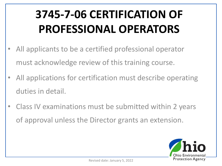# **3745-7-06 CERTIFICATION OF PROFESSIONAL OPERATORS**

- All applicants to be a certified professional operator must acknowledge review of this training course.
- All applications for certification must describe operating duties in detail.
- Class IV examinations must be submitted within 2 years of approval unless the Director grants an extension.

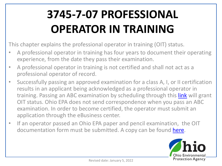# **3745-7-07 PROFESSIONAL OPERATOR IN TRAINING**

This chapter explains the professional operator in training (OIT) status.

- A professional operator in training has four years to document their operating experience, from the date they pass their examination.
- A professional operator in training is not certified and shall not act as a professional operator of record.
- Successfully passing an approved examination for a class A, I, or II certification results in an applicant being acknowledged as a professional operator in training. Passing an ABC examination by scheduling through this *[link](http://online.goamp.com/CandidateHome/CandidateInformation.aspx)* will grant OIT status. Ohio EPA does not send correspondence when you pass an ABC examination. In order to become certified, the operator must submit an application through the eBusiness center.
- If an operator passed an Ohio EPA paper and pencil examination, the OIT documentation form must be submitted. A copy can be found [here](https://epa.ohio.gov/static/Portals/28/documents/opcert/OIT-Application-Fill-In.doc).

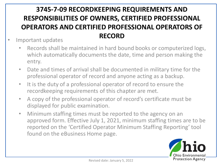#### **3745-7-09 RECORDKEEPING REQUIREMENTS AND RESPONSIBILITIES OF OWNERS, CERTIFIED PROFESSIONAL OPERATORS AND CERTIFIED PROFESSIONAL OPERATORS OF RECORD**

- Important updates
	- Records shall be maintained in hard bound books or computerized logs, which automatically documents the date, time and person making the entry.
	- Date and times of arrival shall be documented in military time for the professional operator of record and anyone acting as a backup.
	- It is the duty of a professional operator of record to ensure the recordkeeping requirements of this chapter are met.
	- A copy of the professional operator of record's certificate must be displayed for public examination.
	- Minimum staffing times must be reported to the agency on an approved form. Effective July 1, 2021, minimum staffing times are to be reported on the 'Certified Operator Minimum Staffing Reporting' tool found on the eBusiness Home page.

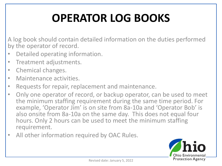# **OPERATOR LOG BOOKS**

A log book should contain detailed information on the duties performed by the operator of record.

- Detailed operating information.
- Treatment adjustments.
- Chemical changes.
- Maintenance activities.
- Requests for repair, replacement and maintenance.
- Only one operator of record, or backup operator, can be used to meet the minimum staffing requirement during the same time period. For example, 'Operator Jim' is on site from 8a-10a and 'Operator Bob' is also onsite from 8a-10a on the same day. This does not equal four hours. Only 2 hours can be used to meet the minimum staffing requirement.
- All other information required by OAC Rules.

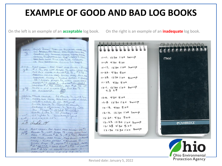#### **EXAMPLE OF GOOD AND BAD LOG BOOKS**

On the left is an example of an **acceptable** log book. On the right is an example of an **inadequate** log book.

cages flame Theos on Equative which LAW  $10|5|12$ LOW ABORTON MED. BECWEY WAN SOUND SPOOD ROLL  $440$  $1001$ construct cap, Emmunel waster During Ready weaking Roupsmach OK Roup 1 15654 21266 SAND Beds CLOSAR M ON LINE "2 OK UV LIGHTS ON PODE ABRACCIO DO COOP TO TOWAR 10-5-12 PLANT CHECK - PRE TREAT MED SOLIDS - BLOWER gt # 1 1/s, EQ LIFT PUMPS 1/s, WELL LEUZE GOM  $0.5T,$   $\beta o \times$   $CLEAR - BlcwER + 2$   $\frac{1}{2}$   $\frac{1}{2}$   $\frac{1}{2}$   $\frac{1}{2}$   $R$ AERATION COLOR MED, SOLIDS MED, ROLL MO CLARIFIER CLOUDY - SLUDGE RETURN + SKINNER 1/5 - DOSING PUMPS VS, WELL LEVEL GOOD  $m$  aren  $k$  / = 1568.7,  $m$  aren  $k$  2 = 1268.3 SAND QUEST (BLOWN) BED 12 1/2 LT.<br>SAND QUES - UV LIGHTS 1/2 POST AIR 1/3 -NO DISCHARGE, 10/8/12 Ptut Check Eq Blower 1/5 Well low 9.15 Am meta bax clere, Assistant norm of celer South blower 1/5 - Clarker closely return estimme 1/3, Dasing well 10w PUMPS 1 15725 2-1270.8 North filter 1/5 - Lt. poncling - Ok UV lights 1/8 Discharge good  $UU^{\top}$  $9,45$  $C-1, 0-0.7-0.15c$  $\epsilon$  $10/9$ abreded 1010-12 PLANT CAECK - PRE TREAT MED SOLINS - EQ<sup>P</sup> 10th Blower 1/3, LIPT PUMPS 1/3, WELL LEVEL LOW FORM - BLOWER # 2 1/5 , # 3 R/5 - AERATION med color, med socias, map Rock- cineval  $C_{\ell_0\ell_1\ell_2}$  - SLUPEE RETURN + SICIMMEL  $\ell_5$  -Dosing Pumps 1/3 merez # 1 = 15760, morelled , morelled , morelled , morelled , morelled , morelled , morelled , morelled , morelled , morelled , morelled , morelled , morelled , morelled , morelled , morelled , morelled BEDF 2 1/5 LT GROWTH-UV LIGHTS 3 EXELIANT GARAGE A A-0 T-8

 $11 - 11.1230100$   $5w - P$ mead 11-15 4:30 5:00  $11 - 17.123013005049$  $11 - 22 - 4305500$  $11.25.1230100000000$  $11.27.$  4:30 5:00  $12 - 1.1230130$  Sweep  $7.369$  $12 - 6$ , 4:30 5:00 12-B 12:50 1:00 Swarp  $11.13.4305.00$ 12-16. 12:30 1:00 Swarp  $12.20.9950500$ 12.23. 12:30 1:00 Sweep *<u>*CAMBRIDGE</u>  $12 - 28$  4:30 5:00  $12.30123010050097$ Ohio Environmental

**Protection Agency** 

Revised date: January 5, 2022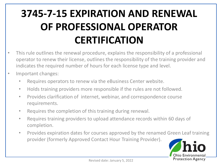#### **3745-7-15 EXPIRATION AND RENEWAL OF PROFESSIONAL OPERATOR CERTIFICATION**

- This rule outlines the renewal procedure, explains the responsibility of a professional operator to renew their license, outlines the responsibility of the training provider and indicates the required number of hours for each license type and level.
- Important changes:
	- Requires operators to renew via the eBusiness Center website.
	- Holds training providers more responsible if the rules are not followed.
	- Provides clarification of internet, webinar, and correspondence course requirements.
	- Requires the completion of this training during renewal.
	- Requires training providers to upload attendance records within 60 days of completion.
	- Provides expiration dates for courses approved by the renamed Green Leaf training provider (formerly Approved Contact Hour Training Provider).

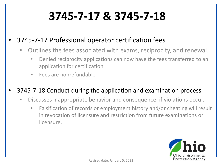## **3745-7-17 & 3745-7-18**

#### • 3745-7-17 Professional operator certification fees

- Outlines the fees associated with exams, reciprocity, and renewal.
	- Denied reciprocity applications can now have the fees transferred to an application for certification.
	- Fees are nonrefundable.

#### • 3745-7-18 Conduct during the application and examination process

- Discusses inappropriate behavior and consequence, if violations occur.
	- Falsification of records or employment history and/or cheating will result in revocation of licensure and restriction from future examinations or licensure.

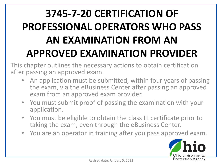### **3745-7-20 CERTIFICATION OF PROFESSIONAL OPERATORS WHO PASS AN EXAMINATION FROM AN APPROVED EXAMINATION PROVIDER**

This chapter outlines the necessary actions to obtain certification after passing an approved exam.

- An application must be submitted, within four years of passing the exam, via the eBusiness Center after passing an approved exam from an approved exam provider.
- You must submit proof of passing the examination with your application.
- You must be eligible to obtain the class III certificate prior to taking the exam, even through the eBusiness Center.
- You are an operator in training after you pass approved exam.

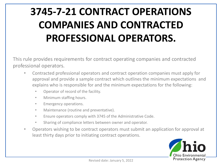#### **3745-7-21 CONTRACT OPERATIONS COMPANIES AND CONTRACTED PROFESSIONAL OPERATORS.**

This rule provides requirements for contract operating companies and contracted professional operators.

- Contracted professional operators and contract operation companies must apply for approval and provide a sample contract which outlines the minimum expectations and explains who is responsible for and the minimum expectations for the following:
	- Operator of record of the facility.
	- Minimum staffing hours.
	- Emergency operations.
	- Maintenance (routine and preventative).
	- Ensure operators comply with 3745 of the Administrative Code.
	- Sharing of compliance letters between owner and operator.
- Operators wishing to be contract operators must submit an application for approval at least thirty days prior to initiating contract operations.

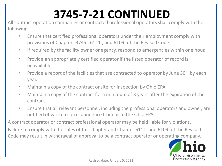# **3745-7-21 CONTINUED**

All contract operation companies or contracted professional operators shall comply with the following:

- Ensure that certified professional operators under their employment comply with provisions of Chapters 3745., 6111., and 6109. of the Revised Code.
- If required by the facility owner or agency, respond to emergencies within one hour.
- Provide an appropriately certified operator if the listed operator of record is unavailable.
- Provide a report of the facilities that are contracted to operator by June  $30<sup>th</sup>$  by each year.
- Maintain a copy of the contract onsite for inspection by Ohio EPA.
- Maintain a copy of the contract for a minimum of 3 years after the expiration of the contract.
- Ensure that all relevant personnel, including the professional operators and owner, are notified of written correspondence from or to the Ohio EPA.

A contract operator or contract professional operator may be held liable for violations.

Failure to comply with the rules of this chapter and Chapter 6111. and 6109. of the Revised Code may result in withdrawal of approval to be a contract operator or operating company.

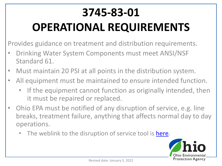# **3745-83-01 OPERATIONAL REQUIREMENTS**

Provides guidance on treatment and distribution requirements.

- Drinking Water System Components must meet ANSI/NSF Standard 61.
- Must maintain 20 PSI at all points in the distribution system.
- All equipment must be maintained to ensure intended function.
	- If the equipment cannot function as originally intended, then it must be repaired or replaced.
- Ohio EPA must be notified of any disruption of service, e.g. line breaks, treatment failure, anything that affects normal day to day operations.
	- The weblink to the disruption of service tool is [here.](https://ohioepa-opa.custhelp.com/ohioepa_opa/owda/0/investigate/PWSIncident/en-US/ScreenOrder~Main~qs%248fab9a96-50cc-4927-a17f-3c07b678443b%24global%24global)

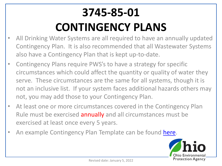# **3745-85-01 CONTINGENCY PLANS**

- All Drinking Water Systems are all required to have an annually updated Contingency Plan. It is also recommended that all Wastewater Systems also have a Contingency Plan that is kept up-to-date.
- Contingency Plans require PWS's to have a strategy for specific circumstances which could affect the quantity or quality of water they serve. These circumstances are the same for all systems, though it is not an inclusive list. If your system faces additional hazards others may not, you may add those to your Contingency Plan.
- At least one or more circumstances covered in the Contingency Plan Rule must be exercised annually and all circumstances must be exercised at least once every 5 years.
- An example Contingency Plan Template can be found [here.](https://epa.ohio.gov/static/Portals/28/documents/security/Contingency_Plan_Template.docx)

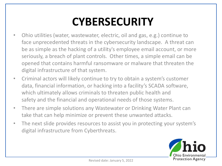## **CYBERSECURITY**

- Ohio utilities (water, wastewater, electric, oil and gas, e.g.) continue to face unprecedented threats in the cybersecurity landscape. A threat can be as simple as the hacking of a utility's employee email account, or more seriously, a breach of plant controls. Other times, a simple email can be opened that contains harmful ransomware or malware that threaten the digital infrastructure of that system.
- Criminal actors will likely continue to try to obtain a system's customer data, financial information, or hacking into a facility's SCADA software, which ultimately allows criminals to threaten public health and safety and the financial and operational needs of those systems.
- There are simple solutions any Wastewater or Drinking Water Plant can take that can help minimize or prevent these unwanted attacks.
- The next slide provides resources to assist you in protecting your system's digital infrastructure from Cyberthreats.

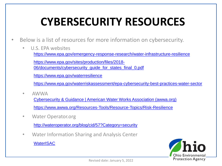# **CYBERSECURITY RESOURCES**

- Below is a list of resources for more information on cybersecurity.
	- U.S. EPA websites <https://www.epa.gov/emergency-response-research/water-infrastructure-resilience> https://www.epa.gov/sites/production/files/2018- 06/documents/cybersecurity\_quide\_for\_states\_final\_0.pdf <https://www.epa.gov/waterresilience> <https://www.epa.gov/waterriskassessment/epa-cybersecurity-best-practices-water-sector>
	- AWWA

[Cybersecurity & Guidance | American Water Works Association \(awwa.org\)](https://www.awwa.org/Resources-Tools/Resource-Topics/Risk-Resilience/Cybersecurity-Guidance)

<https://www.awwa.org/Resources-Tools/Resource-Topics/Risk-Resilience>

• Water Operator.org

<http://wateroperator.org/blog/cid/57?Category=security>

• Water Information Sharing and Analysis Center

**[WaterISAC](https://www.waterisac.org/)** 

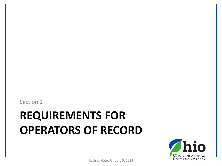Section 2

# **REQUIREMENTS FOR OPERATORS OF RECORD**



Revised date: January 5, 2022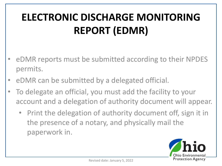#### **ELECTRONIC DISCHARGE MONITORING REPORT (EDMR)**

- eDMR reports must be submitted according to their NPDES permits.
- eDMR can be submitted by a delegated official.
- To delegate an official, you must add the facility to your account and a delegation of authority document will appear.
	- Print the delegation of authority document off, sign it in the presence of a notary, and physically mail the paperwork in.

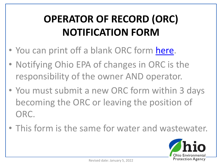#### **OPERATOR OF RECORD (ORC) NOTIFICATION FORM**

- You can print off a blank ORC form [here](https://epa.ohio.gov/static/Portals/28/documents/opcert/Operator%20of%20Record%20Notification%20Form.pdf?ver=2018-09-11-102530-423).
- Notifying Ohio EPA of changes in ORC is the responsibility of the owner AND operator.
- You must submit a new ORC form within 3 days becoming the ORC or leaving the position of ORC.
- This form is the same for water and wastewater.

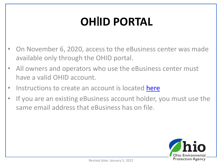# **OHIID PORTAL**

- On November 6, 2020, access to the eBusiness center was made available only through the OHID portal.
- All owners and operators who use the eBusiness center must have a valid OHID account.
- Instructions to create an account is located [here](https://epa.ohio.gov/static/Portals/47/facts/OHIDStepbyStepInst.pdf)
- If you are an existing eBusiness account holder, you must use the same email address that eBusiness has on file.

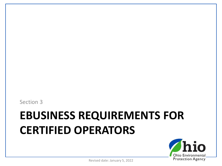Section 3

# **EBUSINESS REQUIREMENTS FOR CERTIFIED OPERATORS**



Revised date: January 5, 2022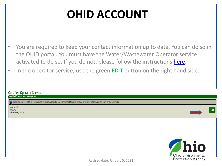#### **OHID ACCOUNT**

- You are required to keep your contact information up to date. You can do so in the OHID portal. You must have the Water/Wastewater Operator service activated to do so. If you do not, please follow the instructions [here](https://epa.ohio.gov/static/Portals/47/facts/OHIDStepbyStepInst.pdf).
- In the operator service, use the green **EDIT** button on the right hand side.

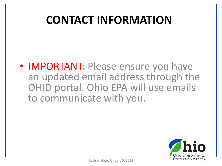#### **CONTACT INFORMATION**

• IMPORTANT: Please ensure you have an updated email address through the OHID portal. Ohio EPA will use emails to communicate with you.

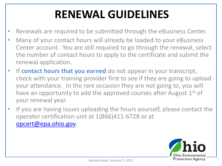# **RENEWAL GUIDELINES**

- Renewals are required to be submitted through the eBusiness Center.
- Many of your contact hours will already be loaded to your eBusiness Center account. You are still required to go through the renewal, select the number of contact hours to apply to the certificate and submit the renewal application.
- If **contact hours that you earned** do not appear in your transcript, check with your training provider first to see if they are going to upload your attendance. In the rare occasion they are not going to, you will have an opportunity to add the approved courses after August  $1<sup>st</sup>$  of your renewal year.
- If you are having issues uploading the hours yourself, please contact the operator certification unit at 1(866)411-6728 or at [opcert@epa.ohio.gov.](mailto:opcert@epa.ohio.gov)

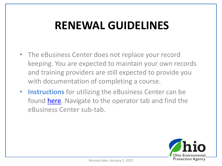#### **RENEWAL GUIDELINES**

- The eBusiness Center does not replace your record keeping. You are expected to maintain your own records and training providers are still expected to provide you with documentation of completing a course.
- **Instructions** for utilizing the eBusiness Center can be found [here](https://epa.ohio.gov/wps/portal/gov/epa/divisions-and-offices/drinking-and-ground-waters/certified-operators/operator). Navigate to the operator tab and find the eBusiness Center sub-tab.

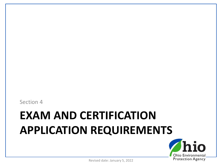Section 4

# **EXAM AND CERTIFICATION APPLICATION REQUIREMENTS**

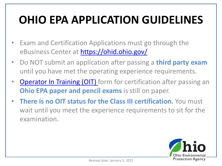# **OHIO EPA APPLICATION GUIDELINES**

- Exam and Certification Applications must go through the eBusiness Center at <https://ohid.ohio.gov/>
- Do NOT submit an application after passing a **third party exam**  until you have met the operating experience requirements.
- [Operator In Training \(OIT\)](https://epa.ohio.gov/static/Portals/28/documents/opcert/OIT-Application-Fill-In.doc) form for certification after passing an **Ohio EPA paper and pencil exams** is still on paper.
- **There is no OIT status for the Class III certification.** You must wait until you meet the experience requirements to sit for the examination.

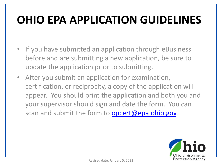## **OHIO EPA APPLICATION GUIDELINES**

- If you have submitted an application through eBusiness before and are submitting a new application, be sure to update the application prior to submitting.
- After you submit an application for examination, certification, or reciprocity, a copy of the application will appear. You should print the application and both you and your supervisor should sign and date the form. You can scan and submit the form to **opcert@epa.ohio.gov.**

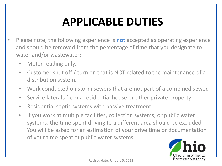# **APPLICABLE DUTIES**

- Please note, the following experience is **not** accepted as operating experience and should be removed from the percentage of time that you designate to water and/or wastewater:
	- Meter reading only.
	- Customer shut off / turn on that is NOT related to the maintenance of a distribution system.
	- Work conducted on storm sewers that are not part of a combined sewer.
	- Service laterals from a residential house or other private property.
	- Residential septic systems with passive treatment .
	- If you work at multiple facilities, collection systems, or public water systems, the time spent driving to a different area should be excluded. You will be asked for an estimation of your drive time or documentation of your time spent at public water systems.

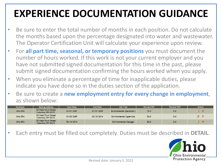#### **EXPERIENCE DOCUMENTATION GUIDANCE**

- Be sure to enter the total number of months in each position. Do not calculate the months based upon the percentage designated into water and wastewater. The Operator Certification Unit will calculate your experience upon review.
- For **all part time, seasonal, or temporary positions** you must document the number of hours worked. If this work is not your current employer and you have not submitted signed documentation for this time in the past, please submit signed documentation confirming the hours worked when you apply.
- When you eliminate a percentage of time for inapplicable duties, please indicate you have done so in the duties section of the application.
- Be sure to create a **new employment entry for every change in employment**, as shown below:

| <b>Employer</b> | <b>Mailing Address</b>                   | <b>Start Date</b> | <b>End Date</b> | Job Title                         | Percent DW | Percent WW | Action    |
|-----------------|------------------------------------------|-------------------|-----------------|-----------------------------------|------------|------------|-----------|
| Ohio EPA        | 50 West Town Street<br>Columbus OH 43215 | 01/01/2001        | 01/01/2009      | <b>Environmental Specialist 2</b> | 75.0       | 0.0        | 7 X       |
| Ohio EPA        | 50 West Town Street<br>Columbus OH 43215 | 01/05/2009        | 05/10/2014      | <b>Environmental Supervisor</b>   | 50.0       | 0.0        | <b>ZX</b> |
| <b>Ohio EPA</b> | 50 West Town Street<br>Columbus OH 43215 | 05/14/2014        |                 | <b>Environmental Manager</b>      | 80.0       | 0.0        | 7 X       |

• Each entry must be filled out completely. Duties must be described in **DETAIL**.

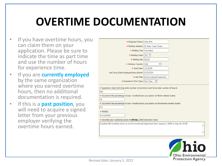## **OVERTIME DOCUMENTATION**

- If you have overtime hours, you can claim them on your application. Please be sure to indicate the time as part time and use the number of hours for experience time.
- If you are **currently employed**  by the same organization where you earned overtime hours, then no additional documentation is required.
- If this is a **past position**, you will need to acquire a signed letter from your previous employer verifying the overtime hours earned.

| ★ Employer Name: Ohio EPA<br>* Mailing Address: 50 West Town Street<br>* Mailing City: Columbus<br>★ Mailing State: OH V<br>$\star$ Mailing Zip: 43215<br>* Address Country: USA<br>* Start Date: 1/5/2009<br>End Date (if still employed leave blank): 5/10/2014<br>* Job Title: Environmental Supervisor<br>* Experience Time Type: Part Time<br>◡<br>* Experience time (Full-time enter number of months or part-time enter number of hours):<br>483<br>Document the percentage of your months/hours you spend on Water related duties:<br>50<br>* Document the percentage of your months/hours you spend on Wastewater related duties:<br>0.0<br>* PWSID:<br>OH1234567<br>Describe your operating duties in DETAIL (2000 characters max):<br>I worked 483 overtime hours as an Environmental Supervisor from January 5, 2009 to May 10, 2014. |  |  |  |  |  |
|---------------------------------------------------------------------------------------------------------------------------------------------------------------------------------------------------------------------------------------------------------------------------------------------------------------------------------------------------------------------------------------------------------------------------------------------------------------------------------------------------------------------------------------------------------------------------------------------------------------------------------------------------------------------------------------------------------------------------------------------------------------------------------------------------------------------------------------------------|--|--|--|--|--|
|                                                                                                                                                                                                                                                                                                                                                                                                                                                                                                                                                                                                                                                                                                                                                                                                                                                   |  |  |  |  |  |
|                                                                                                                                                                                                                                                                                                                                                                                                                                                                                                                                                                                                                                                                                                                                                                                                                                                   |  |  |  |  |  |
|                                                                                                                                                                                                                                                                                                                                                                                                                                                                                                                                                                                                                                                                                                                                                                                                                                                   |  |  |  |  |  |
|                                                                                                                                                                                                                                                                                                                                                                                                                                                                                                                                                                                                                                                                                                                                                                                                                                                   |  |  |  |  |  |
|                                                                                                                                                                                                                                                                                                                                                                                                                                                                                                                                                                                                                                                                                                                                                                                                                                                   |  |  |  |  |  |
|                                                                                                                                                                                                                                                                                                                                                                                                                                                                                                                                                                                                                                                                                                                                                                                                                                                   |  |  |  |  |  |
|                                                                                                                                                                                                                                                                                                                                                                                                                                                                                                                                                                                                                                                                                                                                                                                                                                                   |  |  |  |  |  |
|                                                                                                                                                                                                                                                                                                                                                                                                                                                                                                                                                                                                                                                                                                                                                                                                                                                   |  |  |  |  |  |
|                                                                                                                                                                                                                                                                                                                                                                                                                                                                                                                                                                                                                                                                                                                                                                                                                                                   |  |  |  |  |  |
|                                                                                                                                                                                                                                                                                                                                                                                                                                                                                                                                                                                                                                                                                                                                                                                                                                                   |  |  |  |  |  |
|                                                                                                                                                                                                                                                                                                                                                                                                                                                                                                                                                                                                                                                                                                                                                                                                                                                   |  |  |  |  |  |
|                                                                                                                                                                                                                                                                                                                                                                                                                                                                                                                                                                                                                                                                                                                                                                                                                                                   |  |  |  |  |  |